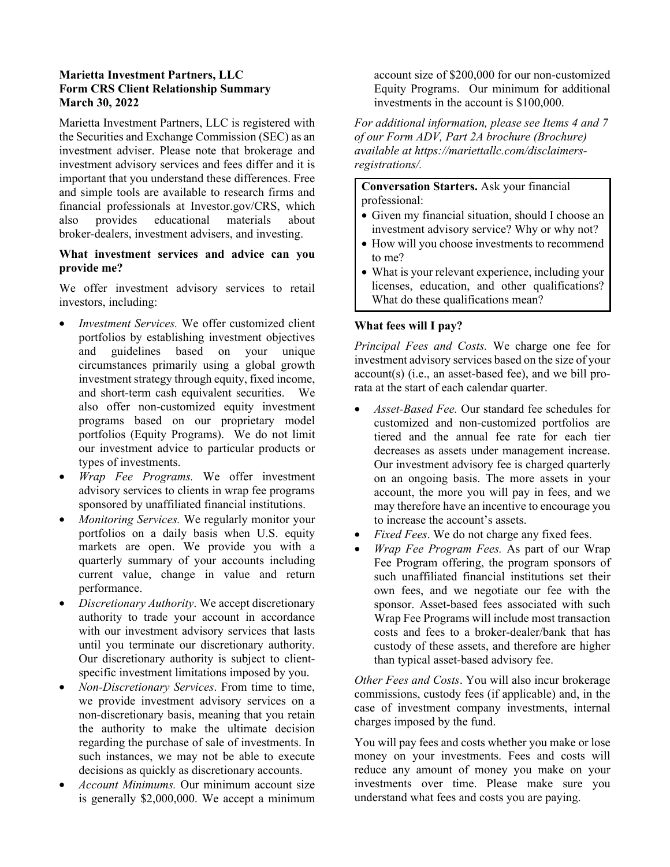## **Marietta Investment Partners, LLC Form CRS Client Relationship Summary March 30, 2022**

Marietta Investment Partners, LLC is registered with the Securities and Exchange Commission (SEC) as an investment adviser. Please note that brokerage and investment advisory services and fees differ and it is important that you understand these differences. Free and simple tools are available to research firms and financial professionals at [Investor.gov/CRS](https://www.investor.gov/CRS), which also provides educational materials about broker-dealers, investment advisers, and investing.

### **What investment services and advice can you provide me?**

We offer investment advisory services to retail investors, including:

- *Investment Services.* We offer customized client portfolios by establishing investment objectives and guidelines based on your unique circumstances primarily using a global growth investment strategy through equity, fixed income, and short-term cash equivalent securities. We also offer non-customized equity investment programs based on our proprietary model portfolios (Equity Programs). We do not limit our investment advice to particular products or types of investments.
- *Wrap Fee Programs.* We offer investment advisory services to clients in wrap fee programs sponsored by unaffiliated financial institutions.
- *Monitoring Services.* We regularly monitor your portfolios on a daily basis when U.S. equity markets are open. We provide you with a quarterly summary of your accounts including current value, change in value and return performance.
- *Discretionary Authority*. We accept discretionary authority to trade your account in accordance with our investment advisory services that lasts until you terminate our discretionary authority. Our discretionary authority is subject to clientspecific investment limitations imposed by you.
- *Non-Discretionary Services*. From time to time, we provide investment advisory services on a non-discretionary basis, meaning that you retain the authority to make the ultimate decision regarding the purchase of sale of investments. In such instances, we may not be able to execute decisions as quickly as discretionary accounts.
- *Account Minimums.* Our minimum account size is generally \$2,000,000. We accept a minimum

account size of \$200,000 for our non-customized Equity Programs. Our minimum for additional investments in the account is \$100,000.

*For additional information, please see Items 4 and 7 of our Form ADV, Part 2A brochure (Brochure) available at https://mariettallc.com/disclaimersregistrations/.* 

**Conversation Starters.** Ask your financial professional:

- Given my financial situation, should I choose an investment advisory service? Why or why not?
- How will you choose investments to recommend to me?
- What is your relevant experience, including your licenses, education, and other qualifications? What do these qualifications mean?

# **What fees will I pay?**

*Principal Fees and Costs.* We charge one fee for investment advisory services based on the size of your  $account(s)$  (i.e., an asset-based fee), and we bill prorata at the start of each calendar quarter.

- *Asset-Based Fee.* Our standard fee schedules for customized and non-customized portfolios are tiered and the annual fee rate for each tier decreases as assets under management increase. Our investment advisory fee is charged quarterly on an ongoing basis. The more assets in your account, the more you will pay in fees, and we may therefore have an incentive to encourage you to increase the account's assets.
- *Fixed Fees.* We do not charge any fixed fees.
- *Wrap Fee Program Fees.* As part of our Wrap Fee Program offering, the program sponsors of such unaffiliated financial institutions set their own fees, and we negotiate our fee with the sponsor. Asset-based fees associated with such Wrap Fee Programs will include most transaction costs and fees to a broker-dealer/bank that has custody of these assets, and therefore are higher than typical asset-based advisory fee.

*Other Fees and Costs*. You will also incur brokerage commissions, custody fees (if applicable) and, in the case of investment company investments, internal charges imposed by the fund.

You will pay fees and costs whether you make or lose money on your investments. Fees and costs will reduce any amount of money you make on your investments over time. Please make sure you understand what fees and costs you are paying.